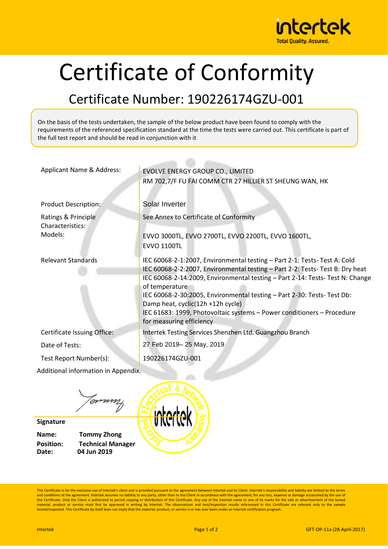

## Certificate of Conformity

## Certificate Number: 190226174GZU-001

On the basis of the tests undertaken, the sample of the below product have been found to comply with the requirements of the referenced specification standard at the time the tests were carried out. This certificate is part of the full test report and should be read in conjunction with it

| Applicant Name & Address:           | EVOLVE ENERGY GROUP CO., LIMITED                                                                             |
|-------------------------------------|--------------------------------------------------------------------------------------------------------------|
|                                     | RM 702,7/F FU FAI COMM CTR 27 HILLIER ST SHEUNG WAN, HK                                                      |
|                                     |                                                                                                              |
| <b>Product Description:</b>         | Solar Inverter                                                                                               |
| Ratings & Principle                 | See Annex to Certificate of Conformity                                                                       |
| Characteristics:                    |                                                                                                              |
| Models:                             | EVVO 3000TL, EVVO 2700TL, EVVO 2200TL, EVVO 1600TL,                                                          |
|                                     | <b>EVVO 1100TL</b>                                                                                           |
| <b>Relevant Standards</b>           | IEC 60068-2-1:2007, Environmental testing - Part 2-1: Tests- Test A: Cold                                    |
|                                     | IEC 60068-2-2:2007, Environmental testing - Part 2-2: Tests-Test B: Dry heat                                 |
|                                     | IEC 60068-2-14:2009, Environmental testing - Part 2-14: Tests- Test N: Change                                |
|                                     | of temperature                                                                                               |
|                                     | IEC 60068-2-30:2005, Environmental testing - Part 2-30: Tests- Test Db:<br>Damp heat, cyclic(12h +12h cycle) |
|                                     | IEC 61683: 1999, Photovoltaic systems - Power conditioners - Procedure                                       |
|                                     | for measuring efficiency                                                                                     |
| Certificate Issuing Office:         | Intertek Testing Services Shenzhen Ltd. Guangzhou Branch                                                     |
| Date of Tests:                      | 27 Feb 2019-25 May, 2019                                                                                     |
| Test Report Number(s):              | 190226174GZU-001                                                                                             |
| Additional information in Appendix. |                                                                                                              |
|                                     |                                                                                                              |

tovnnaf

**Signature**

**Name: Tommy Zhong Position: Technical Manager Date: 04 Jun 2019**

This Certificate is for the exclusive use of Intertek's client and is provided pursuant to the agreement between Intertek and its Client. Intertek's responsibility and liability are limited to the terms and conditions of the agreement. Intertek assumes no liability to any party, other than to the Client in accordance with the agreement, for any loss, expense or damage occasioned by the use of<br>this Certificate. Only the Cl material, product or service must first be approved in writing by Intertek. The observations and test/inspection results referenced in this Certificate are relevant only to the sample tested/inspected. This Certificate by itself does not imply that the material, product, or service is or has ever been under an Intertek certification program.